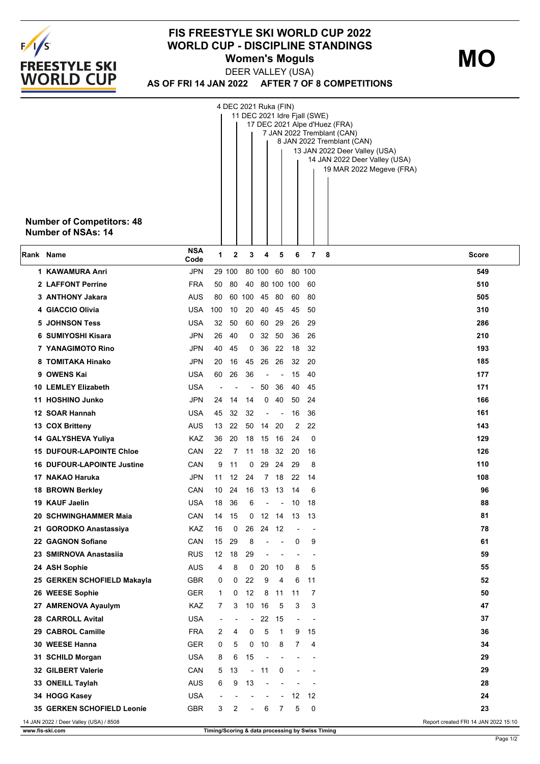

## **FIS FREESTYLE SKI WORLD CUP 2022 WORLD CUP - DISCIPLINE STANDINGS Women's Moguls MO**

**AS OF FRI 14 JAN 2022 AFTER 7 OF 8 COMPETITIONS** DEER VALLEY (USA)

|           | <b>Number of Competitors: 48</b><br><b>Number of NSAs: 14</b>                  |                    |                          |        | 4 DEC 2021 Ruka (FIN)    |                          |                          |                          | 11 DEC 2021 Idre Fjall (SWE) | 17 DEC 2021 Alpe d'Huez (FRA)<br>7 JAN 2022 Tremblant (CAN)<br>8 JAN 2022 Tremblant (CAN)<br>13 JAN 2022 Deer Valley (USA)<br>14 JAN 2022 Deer Valley (USA)<br>19 MAR 2022 Megeve (FRA) |  |  |
|-----------|--------------------------------------------------------------------------------|--------------------|--------------------------|--------|--------------------------|--------------------------|--------------------------|--------------------------|------------------------------|-----------------------------------------------------------------------------------------------------------------------------------------------------------------------------------------|--|--|
| Rank Name |                                                                                | <b>NSA</b><br>Code | 1                        | 2      | 3                        | 4                        | 5                        | 6                        | 7                            | -8<br><b>Score</b>                                                                                                                                                                      |  |  |
|           | 1 KAWAMURA Anri                                                                | <b>JPN</b>         |                          | 29 100 |                          | 80 100 60                |                          |                          | 80 100                       | 549                                                                                                                                                                                     |  |  |
|           | 2 LAFFONT Perrine                                                              | <b>FRA</b>         | 50                       | 80     | 40                       |                          | 80 100 100               |                          | 60                           | 510                                                                                                                                                                                     |  |  |
|           | 3 ANTHONY Jakara                                                               | AUS                | 80                       |        | 60 100                   |                          | 45 80                    | 60                       | 80                           | 505                                                                                                                                                                                     |  |  |
|           | 4 GIACCIO Olivia                                                               | USA                | 100                      | 10     | 20                       | 40                       | 45                       | 45                       | 50                           | 310                                                                                                                                                                                     |  |  |
|           | <b>5 JOHNSON Tess</b>                                                          | USA                | 32                       | 50     | 60                       | 60                       | 29                       | 26                       | 29                           | 286                                                                                                                                                                                     |  |  |
|           | 6 SUMIYOSHI Kisara                                                             | <b>JPN</b>         | 26                       | 40     | 0                        |                          | 32 50                    | 36                       | 26                           | 210                                                                                                                                                                                     |  |  |
|           | 7 YANAGIMOTO Rino                                                              | <b>JPN</b>         | 40                       | 45     | 0                        | 36                       | 22                       | 18                       | 32                           | 193                                                                                                                                                                                     |  |  |
|           | 8 TOMITAKA Hinako                                                              | <b>JPN</b>         | 20                       | 16     | 45                       | 26                       | 26                       | 32                       | 20                           | 185                                                                                                                                                                                     |  |  |
|           | 9 OWENS Kai                                                                    | <b>USA</b>         | 60                       | 26     | 36                       |                          |                          | 15                       | 40                           | 177                                                                                                                                                                                     |  |  |
|           | 10 LEMLEY Elizabeth                                                            | <b>USA</b>         |                          |        |                          | 50                       | 36                       | 40                       | 45                           | 171                                                                                                                                                                                     |  |  |
|           | 11 HOSHINO Junko                                                               | <b>JPN</b>         | 24                       | 14     | 14                       | 0                        | 40                       | 50                       | 24                           | 166                                                                                                                                                                                     |  |  |
|           | 12 SOAR Hannah                                                                 | USA                | 45                       | 32     | 32                       | $\overline{\phantom{a}}$ | $\overline{\phantom{a}}$ | 16                       | 36                           | 161                                                                                                                                                                                     |  |  |
|           | 13 COX Britteny                                                                | AUS                | 13                       | 22     |                          | 50 14                    | 20                       | 2                        | 22                           | 143                                                                                                                                                                                     |  |  |
|           | 14 GALYSHEVA Yuliya                                                            | KAZ                | 36                       | 20     | 18                       | 15                       | 16                       | 24                       | 0                            | 129                                                                                                                                                                                     |  |  |
|           | <b>15 DUFOUR-LAPOINTE Chloe</b>                                                | CAN                | 22                       | 7      |                          | 11 18                    | 32                       | 20                       | 16                           | 126                                                                                                                                                                                     |  |  |
|           | <b>16 DUFOUR-LAPOINTE Justine</b>                                              | CAN                | 9                        | 11     | 0                        | 29                       | 24                       | 29                       | 8                            | 110                                                                                                                                                                                     |  |  |
|           | 17 NAKAO Haruka                                                                | <b>JPN</b>         | 11                       | 12     | 24                       | 7                        | 18                       | 22                       | 14                           | 108                                                                                                                                                                                     |  |  |
|           | 18 BROWN Berkley                                                               | CAN                | 10                       | 24     | 16                       | 13                       | 13                       | 14                       | 6                            | 96                                                                                                                                                                                      |  |  |
|           | 19 KAUF Jaelin                                                                 | USA                | 18                       | 36     | 6                        | $\overline{a}$           | $\blacksquare$           | 10                       | 18                           | 88                                                                                                                                                                                      |  |  |
|           | 20 SCHWINGHAMMER Maia                                                          | CAN                | 14                       | 15     |                          | 0 12 14 13 13            |                          |                          |                              | 81                                                                                                                                                                                      |  |  |
|           | 21 GORODKO Anastassiya                                                         | KAZ                | 16                       | 0      | 26                       | 24                       | 12                       |                          |                              | 78                                                                                                                                                                                      |  |  |
|           | 22 GAGNON Sofiane                                                              | CAN                | 15                       | 29     | 8                        | $\overline{\phantom{a}}$ | $\blacksquare$           | 0                        | 9                            | 61                                                                                                                                                                                      |  |  |
|           | 23 SMIRNOVA Anastasiia                                                         | <b>RUS</b>         | 12                       | 18     | 29                       | $\overline{\phantom{a}}$ | $\overline{\phantom{a}}$ | $\blacksquare$           | $\blacksquare$               | 59                                                                                                                                                                                      |  |  |
|           | 24 ASH Sophie                                                                  | <b>AUS</b>         | 4                        | 8      | 0                        | 20                       | 10                       | 8                        | 5                            | 55                                                                                                                                                                                      |  |  |
|           | 25 GERKEN SCHOFIELD Makayla                                                    | GBR                | 0                        | 0      | 22                       | 9                        | 4                        | 6                        | 11                           | 52                                                                                                                                                                                      |  |  |
|           | 26 WEESE Sophie                                                                | <b>GER</b>         | 1                        | 0      | 12                       | 8                        | 11                       | 11                       | 7                            | 50                                                                                                                                                                                      |  |  |
|           | 27 AMRENOVA Ayaulym                                                            | KAZ                | $\overline{7}$           | 3      |                          | 10 16                    | 5                        | 3                        | 3                            | 47                                                                                                                                                                                      |  |  |
|           | 28 CARROLL Avital                                                              | <b>USA</b>         | $\overline{a}$           |        | $\blacksquare$           | 22                       | 15                       | $\overline{\phantom{a}}$ | $\overline{\phantom{a}}$     | 37                                                                                                                                                                                      |  |  |
|           | 29 CABROL Camille                                                              | <b>FRA</b>         | 2                        | 4      | 0                        | 5                        | 1                        | 9                        | 15                           | 36                                                                                                                                                                                      |  |  |
|           | 30 WEESE Hanna                                                                 | <b>GER</b>         | 0                        | 5      |                          | $0$ 10                   | 8                        | 7                        | 4                            | 34                                                                                                                                                                                      |  |  |
|           | 31 SCHILD Morgan                                                               | <b>USA</b>         | 8                        | 6      | 15                       | ÷,                       |                          |                          |                              | 29                                                                                                                                                                                      |  |  |
|           | 32 GILBERT Valerie                                                             | CAN                | 5                        | 13     |                          | $-11$                    | 0                        |                          |                              | 29                                                                                                                                                                                      |  |  |
|           | 33 ONEILL Taylah                                                               | <b>AUS</b>         | 6                        | 9      | 13                       | $\blacksquare$           |                          | $\overline{a}$           |                              | 28                                                                                                                                                                                      |  |  |
|           | 34 HOGG Kasey                                                                  | <b>USA</b>         | $\overline{\phantom{a}}$ |        |                          | $\overline{\phantom{a}}$ | $\overline{\phantom{a}}$ |                          | 12 12                        | 24                                                                                                                                                                                      |  |  |
|           | <b>35 GERKEN SCHOFIELD Leonie</b>                                              | <b>GBR</b>         | 3                        | 2      | $\overline{\phantom{a}}$ | 6                        | 7                        | 5                        | 0                            | 23                                                                                                                                                                                      |  |  |
|           | 14 JAN 2022 / Deer Valley (USA) / 8508<br>Report created FRI 14 JAN 2022 15:10 |                    |                          |        |                          |                          |                          |                          |                              |                                                                                                                                                                                         |  |  |